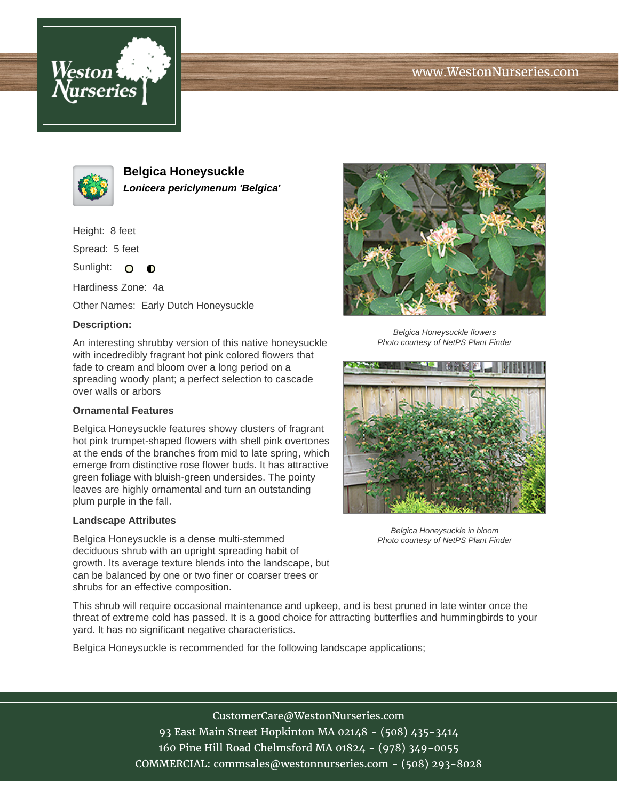





**Belgica Honeysuckle Lonicera periclymenum 'Belgica'**

Height: 8 feet

Spread: 5 feet

Sunlight: O  $\bullet$ 

Hardiness Zone: 4a

Other Names: Early Dutch Honeysuckle

## **Description:**

An interesting shrubby version of this native honeysuckle with incedredibly fragrant hot pink colored flowers that fade to cream and bloom over a long period on a spreading woody plant; a perfect selection to cascade over walls or arbors

## **Ornamental Features**

Belgica Honeysuckle features showy clusters of fragrant hot pink trumpet-shaped flowers with shell pink overtones at the ends of the branches from mid to late spring, which emerge from distinctive rose flower buds. It has attractive green foliage with bluish-green undersides. The pointy leaves are highly ornamental and turn an outstanding plum purple in the fall.

## **Landscape Attributes**

Belgica Honeysuckle is a dense multi-stemmed deciduous shrub with an upright spreading habit of growth. Its average texture blends into the landscape, but can be balanced by one or two finer or coarser trees or shrubs for an effective composition.



Belgica Honeysuckle flowers Photo courtesy of NetPS Plant Finder



Belgica Honeysuckle in bloom Photo courtesy of NetPS Plant Finder

This shrub will require occasional maintenance and upkeep, and is best pruned in late winter once the threat of extreme cold has passed. It is a good choice for attracting butterflies and hummingbirds to your yard. It has no significant negative characteristics.

Belgica Honeysuckle is recommended for the following landscape applications;

CustomerCare@WestonNurseries.com 93 East Main Street Hopkinton MA 02148 - (508) 435-3414 160 Pine Hill Road Chelmsford MA 01824 - (978) 349-0055 COMMERCIAL: commsales@westonnurseries.com - (508) 293-8028